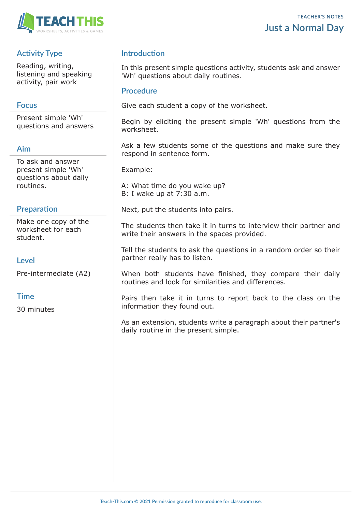

# **Activity Type**

Reading, writing, listening and speaking activity, pair work

## **Focus**

Present simple 'Wh' questions and answers

## **Aim**

To ask and answer present simple 'Wh' questions about daily routines.

#### **Preparation**

Make one copy of the worksheet for each student.

## **Level**

Pre-intermediate (A2)

#### **Time**

30 minutes

## **Introduction**

In this present simple questions activity, students ask and answer 'Wh' questions about daily routines.

#### **Procedure**

Give each student a copy of the worksheet.

Begin by eliciting the present simple 'Wh' questions from the worksheet.

Ask a few students some of the questions and make sure they respond in sentence form.

Example:

A: What time do you wake up? B: I wake up at 7:30 a.m.

Next, put the students into pairs.

The students then take it in turns to interview their partner and write their answers in the spaces provided.

Tell the students to ask the questions in a random order so their partner really has to listen.

When both students have finished, they compare their daily routines and look for similarities and differences.

Pairs then take it in turns to report back to the class on the information they found out.

As an extension, students write a paragraph about their partner's daily routine in the present simple.